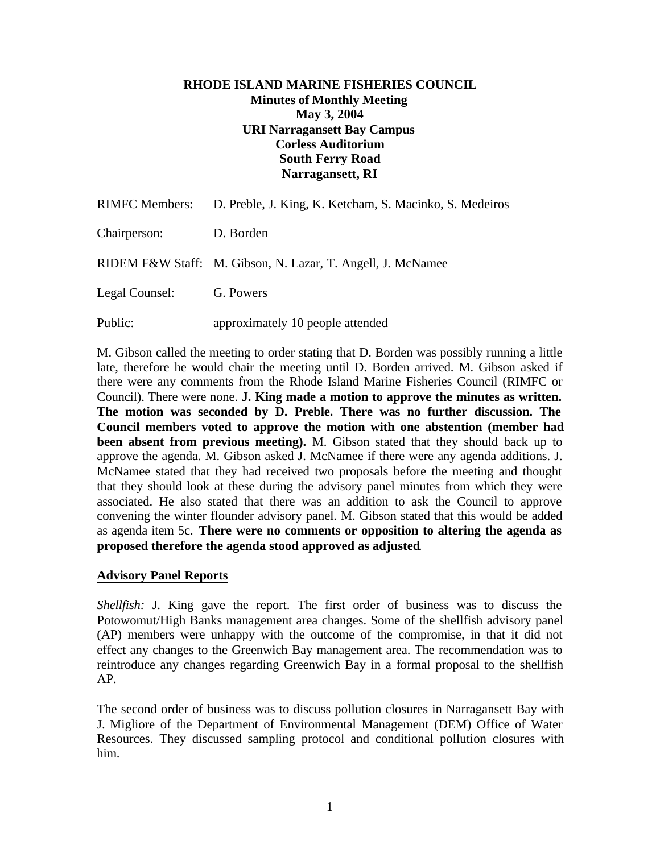#### **RHODE ISLAND MARINE FISHERIES COUNCIL Minutes of Monthly Meeting May 3, 2004 URI Narragansett Bay Campus Corless Auditorium South Ferry Road Narragansett, RI**

|                | RIMFC Members: D. Preble, J. King, K. Ketcham, S. Macinko, S. Medeiros |
|----------------|------------------------------------------------------------------------|
| Chairperson:   | D. Borden                                                              |
|                | RIDEM F&W Staff: M. Gibson, N. Lazar, T. Angell, J. McNamee            |
| Legal Counsel: | G. Powers                                                              |
| Public:        | approximately 10 people attended                                       |

M. Gibson called the meeting to order stating that D. Borden was possibly running a little late, therefore he would chair the meeting until D. Borden arrived. M. Gibson asked if there were any comments from the Rhode Island Marine Fisheries Council (RIMFC or Council). There were none. **J. King made a motion to approve the minutes as written. The motion was seconded by D. Preble. There was no further discussion. The Council members voted to approve the motion with one abstention (member had been absent from previous meeting).** M. Gibson stated that they should back up to approve the agenda. M. Gibson asked J. McNamee if there were any agenda additions. J. McNamee stated that they had received two proposals before the meeting and thought that they should look at these during the advisory panel minutes from which they were associated. He also stated that there was an addition to ask the Council to approve convening the winter flounder advisory panel. M. Gibson stated that this would be added as agenda item 5c. **There were no comments or opposition to altering the agenda as proposed therefore the agenda stood approved as adjusted**.

#### **Advisory Panel Reports**

*Shellfish:* J. King gave the report. The first order of business was to discuss the Potowomut/High Banks management area changes. Some of the shellfish advisory panel (AP) members were unhappy with the outcome of the compromise, in that it did not effect any changes to the Greenwich Bay management area. The recommendation was to reintroduce any changes regarding Greenwich Bay in a formal proposal to the shellfish AP.

The second order of business was to discuss pollution closures in Narragansett Bay with J. Migliore of the Department of Environmental Management (DEM) Office of Water Resources. They discussed sampling protocol and conditional pollution closures with him.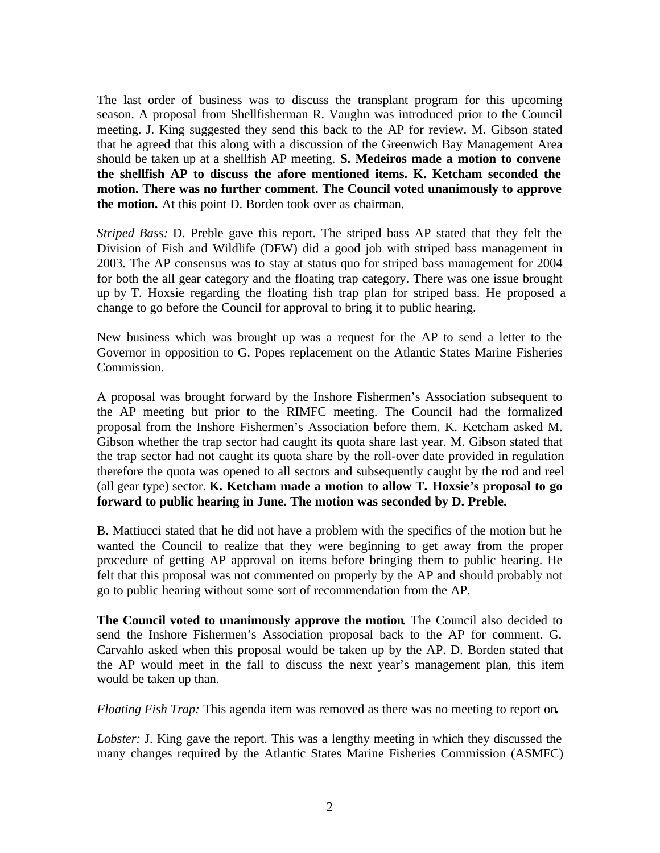The last order of business was to discuss the transplant program for this upcoming season. A proposal from Shellfisherman R. Vaughn was introduced prior to the Council meeting. J. King suggested they send this back to the AP for review. M. Gibson stated that he agreed that this along with a discussion of the Greenwich Bay Management Area should be taken up at a shellfish AP meeting. **S. Medeiros made a motion to convene the shellfish AP to discuss the afore mentioned items. K. Ketcham seconded the motion. There was no further comment. The Council voted unanimously to approve the motion.** At this point D. Borden took over as chairman.

*Striped Bass:* D. Preble gave this report. The striped bass AP stated that they felt the Division of Fish and Wildlife (DFW) did a good job with striped bass management in 2003. The AP consensus was to stay at status quo for striped bass management for 2004 for both the all gear category and the floating trap category. There was one issue brought up by T. Hoxsie regarding the floating fish trap plan for striped bass. He proposed a change to go before the Council for approval to bring it to public hearing.

New business which was brought up was a request for the AP to send a letter to the Governor in opposition to G. Popes replacement on the Atlantic States Marine Fisheries Commission.

A proposal was brought forward by the Inshore Fishermen's Association subsequent to the AP meeting but prior to the RIMFC meeting. The Council had the formalized proposal from the Inshore Fishermen's Association before them. K. Ketcham asked M. Gibson whether the trap sector had caught its quota share last year. M. Gibson stated that the trap sector had not caught its quota share by the roll-over date provided in regulation therefore the quota was opened to all sectors and subsequently caught by the rod and reel (all gear type) sector. **K. Ketcham made a motion to allow T. Hoxsie's proposal to go forward to public hearing in June. The motion was seconded by D. Preble.**

B. Mattiucci stated that he did not have a problem with the specifics of the motion but he wanted the Council to realize that they were beginning to get away from the proper procedure of getting AP approval on items before bringing them to public hearing. He felt that this proposal was not commented on properly by the AP and should probably not go to public hearing without some sort of recommendation from the AP.

**The Council voted to unanimously approve the motion**. The Council also decided to send the Inshore Fishermen's Association proposal back to the AP for comment. G. Carvahlo asked when this proposal would be taken up by the AP. D. Borden stated that the AP would meet in the fall to discuss the next year's management plan, this item would be taken up than.

*Floating Fish Trap:* This agenda item was removed as there was no meeting to report on**.**

*Lobster:* J. King gave the report. This was a lengthy meeting in which they discussed the many changes required by the Atlantic States Marine Fisheries Commission (ASMFC)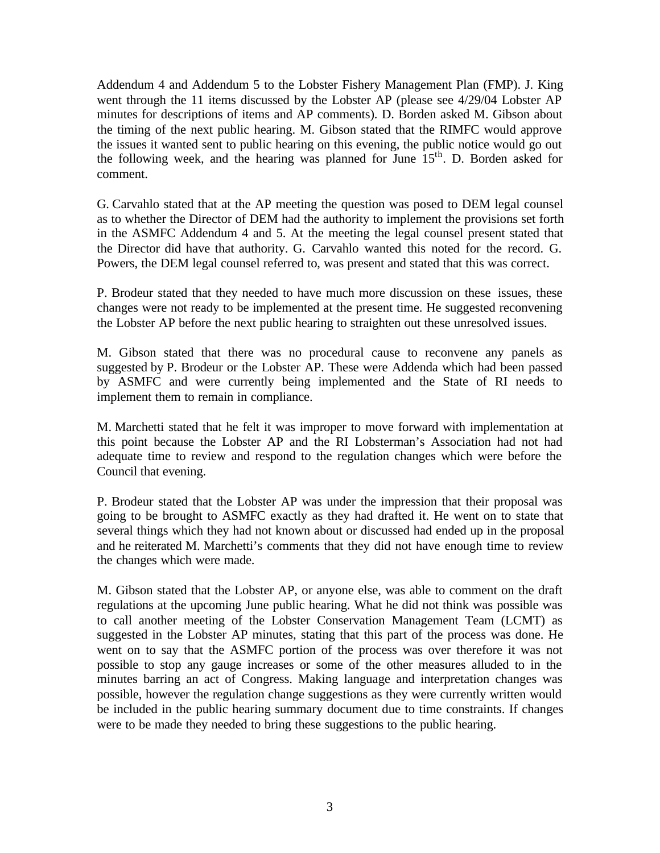Addendum 4 and Addendum 5 to the Lobster Fishery Management Plan (FMP). J. King went through the 11 items discussed by the Lobster AP (please see 4/29/04 Lobster AP minutes for descriptions of items and AP comments). D. Borden asked M. Gibson about the timing of the next public hearing. M. Gibson stated that the RIMFC would approve the issues it wanted sent to public hearing on this evening, the public notice would go out the following week, and the hearing was planned for June 15<sup>th</sup>. D. Borden asked for comment.

G. Carvahlo stated that at the AP meeting the question was posed to DEM legal counsel as to whether the Director of DEM had the authority to implement the provisions set forth in the ASMFC Addendum 4 and 5. At the meeting the legal counsel present stated that the Director did have that authority. G. Carvahlo wanted this noted for the record. G. Powers, the DEM legal counsel referred to, was present and stated that this was correct.

P. Brodeur stated that they needed to have much more discussion on these issues, these changes were not ready to be implemented at the present time. He suggested reconvening the Lobster AP before the next public hearing to straighten out these unresolved issues.

M. Gibson stated that there was no procedural cause to reconvene any panels as suggested by P. Brodeur or the Lobster AP. These were Addenda which had been passed by ASMFC and were currently being implemented and the State of RI needs to implement them to remain in compliance.

M. Marchetti stated that he felt it was improper to move forward with implementation at this point because the Lobster AP and the RI Lobsterman's Association had not had adequate time to review and respond to the regulation changes which were before the Council that evening.

P. Brodeur stated that the Lobster AP was under the impression that their proposal was going to be brought to ASMFC exactly as they had drafted it. He went on to state that several things which they had not known about or discussed had ended up in the proposal and he reiterated M. Marchetti's comments that they did not have enough time to review the changes which were made.

M. Gibson stated that the Lobster AP, or anyone else, was able to comment on the draft regulations at the upcoming June public hearing. What he did not think was possible was to call another meeting of the Lobster Conservation Management Team (LCMT) as suggested in the Lobster AP minutes, stating that this part of the process was done. He went on to say that the ASMFC portion of the process was over therefore it was not possible to stop any gauge increases or some of the other measures alluded to in the minutes barring an act of Congress. Making language and interpretation changes was possible, however the regulation change suggestions as they were currently written would be included in the public hearing summary document due to time constraints. If changes were to be made they needed to bring these suggestions to the public hearing.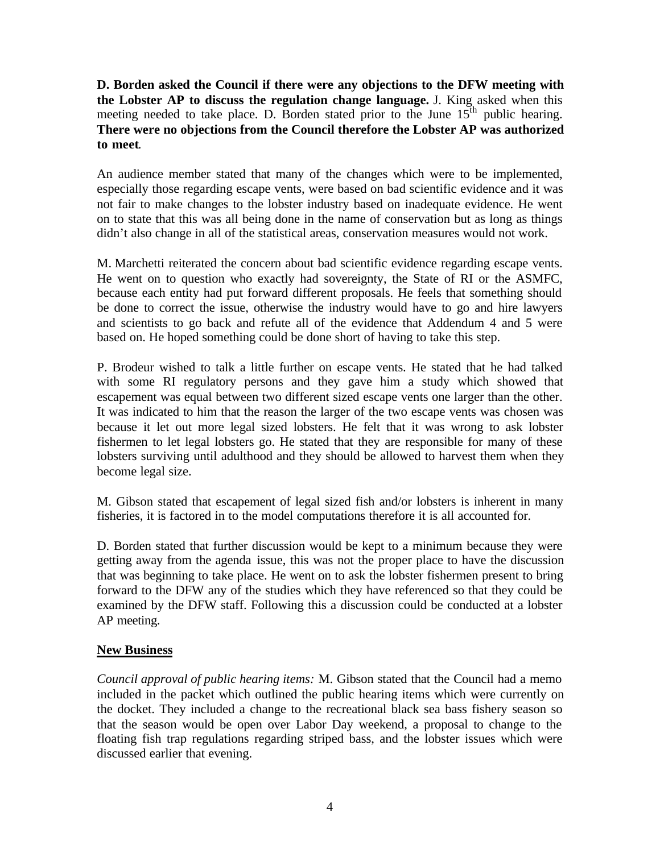**D. Borden asked the Council if there were any objections to the DFW meeting with the Lobster AP to discuss the regulation change language.** J. King asked when this meeting needed to take place. D. Borden stated prior to the June  $15<sup>th</sup>$  public hearing. **There were no objections from the Council therefore the Lobster AP was authorized to meet**.

An audience member stated that many of the changes which were to be implemented, especially those regarding escape vents, were based on bad scientific evidence and it was not fair to make changes to the lobster industry based on inadequate evidence. He went on to state that this was all being done in the name of conservation but as long as things didn't also change in all of the statistical areas, conservation measures would not work.

M. Marchetti reiterated the concern about bad scientific evidence regarding escape vents. He went on to question who exactly had sovereignty, the State of RI or the ASMFC, because each entity had put forward different proposals. He feels that something should be done to correct the issue, otherwise the industry would have to go and hire lawyers and scientists to go back and refute all of the evidence that Addendum 4 and 5 were based on. He hoped something could be done short of having to take this step.

P. Brodeur wished to talk a little further on escape vents. He stated that he had talked with some RI regulatory persons and they gave him a study which showed that escapement was equal between two different sized escape vents one larger than the other. It was indicated to him that the reason the larger of the two escape vents was chosen was because it let out more legal sized lobsters. He felt that it was wrong to ask lobster fishermen to let legal lobsters go. He stated that they are responsible for many of these lobsters surviving until adulthood and they should be allowed to harvest them when they become legal size.

M. Gibson stated that escapement of legal sized fish and/or lobsters is inherent in many fisheries, it is factored in to the model computations therefore it is all accounted for.

D. Borden stated that further discussion would be kept to a minimum because they were getting away from the agenda issue, this was not the proper place to have the discussion that was beginning to take place. He went on to ask the lobster fishermen present to bring forward to the DFW any of the studies which they have referenced so that they could be examined by the DFW staff. Following this a discussion could be conducted at a lobster AP meeting.

### **New Business**

*Council approval of public hearing items:* M. Gibson stated that the Council had a memo included in the packet which outlined the public hearing items which were currently on the docket. They included a change to the recreational black sea bass fishery season so that the season would be open over Labor Day weekend, a proposal to change to the floating fish trap regulations regarding striped bass, and the lobster issues which were discussed earlier that evening.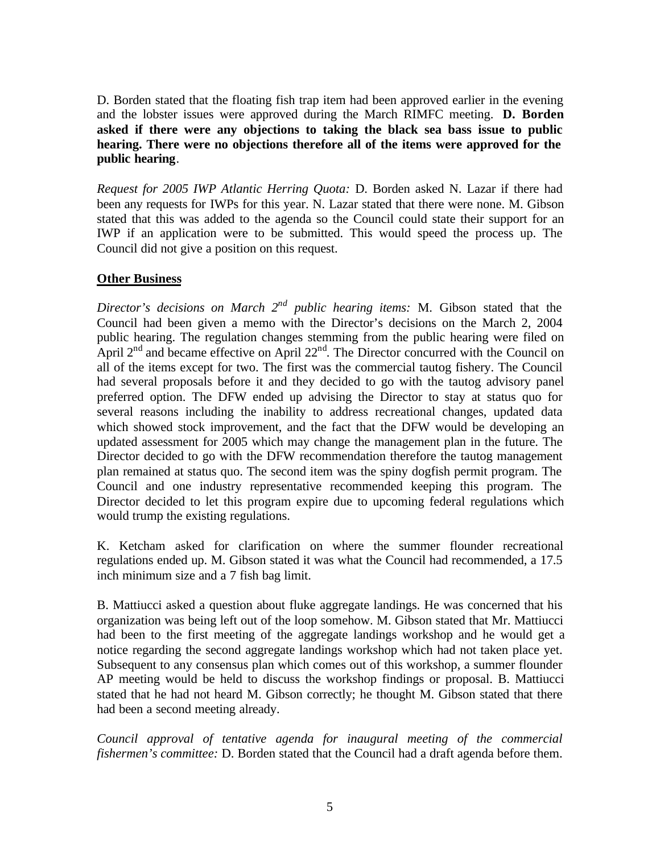D. Borden stated that the floating fish trap item had been approved earlier in the evening and the lobster issues were approved during the March RIMFC meeting. **D. Borden asked if there were any objections to taking the black sea bass issue to public hearing. There were no objections therefore all of the items were approved for the public hearing**.

*Request for 2005 IWP Atlantic Herring Quota:* D. Borden asked N. Lazar if there had been any requests for IWPs for this year. N. Lazar stated that there were none. M. Gibson stated that this was added to the agenda so the Council could state their support for an IWP if an application were to be submitted. This would speed the process up. The Council did not give a position on this request.

## **Other Business**

Director's decisions on March 2<sup>nd</sup> public hearing items: M. Gibson stated that the Council had been given a memo with the Director's decisions on the March 2, 2004 public hearing. The regulation changes stemming from the public hearing were filed on April  $2<sup>nd</sup>$  and became effective on April  $22<sup>nd</sup>$ . The Director concurred with the Council on all of the items except for two. The first was the commercial tautog fishery. The Council had several proposals before it and they decided to go with the tautog advisory panel preferred option. The DFW ended up advising the Director to stay at status quo for several reasons including the inability to address recreational changes, updated data which showed stock improvement, and the fact that the DFW would be developing an updated assessment for 2005 which may change the management plan in the future. The Director decided to go with the DFW recommendation therefore the tautog management plan remained at status quo. The second item was the spiny dogfish permit program. The Council and one industry representative recommended keeping this program. The Director decided to let this program expire due to upcoming federal regulations which would trump the existing regulations.

K. Ketcham asked for clarification on where the summer flounder recreational regulations ended up. M. Gibson stated it was what the Council had recommended, a 17.5 inch minimum size and a 7 fish bag limit.

B. Mattiucci asked a question about fluke aggregate landings. He was concerned that his organization was being left out of the loop somehow. M. Gibson stated that Mr. Mattiucci had been to the first meeting of the aggregate landings workshop and he would get a notice regarding the second aggregate landings workshop which had not taken place yet. Subsequent to any consensus plan which comes out of this workshop, a summer flounder AP meeting would be held to discuss the workshop findings or proposal. B. Mattiucci stated that he had not heard M. Gibson correctly; he thought M. Gibson stated that there had been a second meeting already.

*Council approval of tentative agenda for inaugural meeting of the commercial fishermen's committee:* D. Borden stated that the Council had a draft agenda before them.